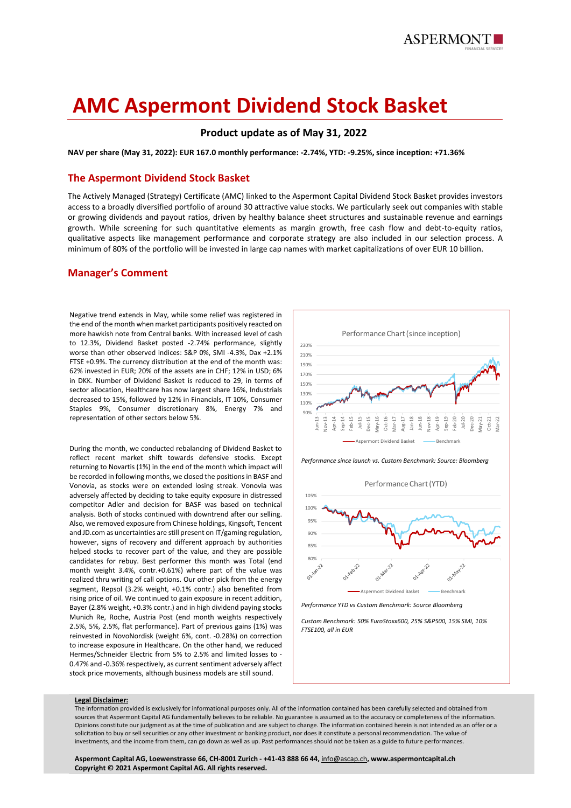

# **AMC Aspermont Dividend Stock Basket**

# **Product update as of May 31, 2022**

**NAV per share (May 31, 2022): EUR 167.0 monthly performance: -2.74%, YTD: -9.25%, since inception: +71.36%**

## **The Aspermont Dividend Stock Basket**

The Actively Managed (Strategy) Certificate (AMC) linked to the Aspermont Capital Dividend Stock Basket provides investors access to a broadly diversified portfolio of around 30 attractive value stocks. We particularly seek out companies with stable or growing dividends and payout ratios, driven by healthy balance sheet structures and sustainable revenue and earnings growth. While screening for such quantitative elements as margin growth, free cash flow and debt-to-equity ratios, qualitative aspects like management performance and corporate strategy are also included in our selection process. A minimum of 80% of the portfolio will be invested in large cap names with market capitalizations of over EUR 10 billion.

## **Manager's Comment**

Negative trend extends in May, while some relief was registered in the end of the month when market participants positively reacted on more hawkish note from Central banks. With increased level of cash to 12.3%, Dividend Basket posted -2.74% performance, slightly worse than other observed indices: S&P 0%, SMI -4.3%, Dax +2.1% FTSE +0.9%. The currency distribution at the end of the month was: 62% invested in EUR; 20% of the assets are in CHF; 12% in USD; 6% in DKK. Number of Dividend Basket is reduced to 29, in terms of sector allocation, Healthcare has now largest share 16%, Industrials decreased to 15%, followed by 12% in Financials, IT 10%, Consumer Staples 9%, Consumer discretionary 8%, Energy 7% and representation of other sectors below 5%.

During the month, we conducted rebalancing of Dividend Basket to reflect recent market shift towards defensive stocks. Except returning to Novartis (1%) in the end of the month which impact will be recorded in following months, we closed the positions in BASF and Vonovia, as stocks were on extended losing streak. Vonovia was adversely affected by deciding to take equity exposure in distressed competitor Adler and decision for BASF was based on technical analysis. Both of stocks continued with downtrend after our selling. Also, we removed exposure from Chinese holdings, Kingsoft, Tencent and JD.com as uncertainties are still present on IT/gaming regulation, however, signs of recovery and different approach by authorities helped stocks to recover part of the value, and they are possible candidates for rebuy. Best performer this month was Total (end month weight 3.4%, contr.+0.61%) where part of the value was realized thru writing of call options. Our other pick from the energy segment, Repsol (3.2% weight, +0.1% contr.) also benefited from rising price of oil. We continued to gain exposure in recent addition, Bayer (2.8% weight, +0.3% contr.) and in high dividend paying stocks Munich Re, Roche, Austria Post (end month weights respectively 2.5%, 5%, 2.5%, flat performance). Part of previous gains (1%) was reinvested in NovoNordisk (weight 6%, cont. -0.28%) on correction to increase exposure in Healthcare. On the other hand, we reduced Hermes/Schneider Electric from 5% to 2.5% and limited losses to - 0.47% and -0.36% respectively, as current sentiment adversely affect stock price movements, although business models are still sound.



*Performance since launch vs. Custom Benchmark: Source: Bloomberg*



*Performance YTD vs Custom Benchmark: Source Bloomberg*

*Custom Benchmark: 50% EuroStoxx600, 25% S&P500, 15% SMI, 10% FTSE100, all in EUR*

#### **Legal Disclaimer:**

The information provided is exclusively for informational purposes only. All of the information contained has been carefully selected and obtained from sources that Aspermont Capital AG fundamentally believes to be reliable. No guarantee is assumed as to the accuracy or completeness of the information. Opinions constitute our judgment as at the time of publication and are subject to change. The information contained herein is not intended as an offer or a solicitation to buy or sell securities or any other investment or banking product, nor does it constitute a personal recommendation. The value of investments, and the income from them, can go down as well as up. Past performances should not be taken as a guide to future performances.

**Aspermont Capital AG, Loewenstrasse 66, CH-8001 Zurich - +41-43 888 66 44,** [info@ascap.ch](mailto:info@ascap.ch)**, www.aspermontcapital.ch Copyright © 2021 Aspermont Capital AG. All rights reserved.**